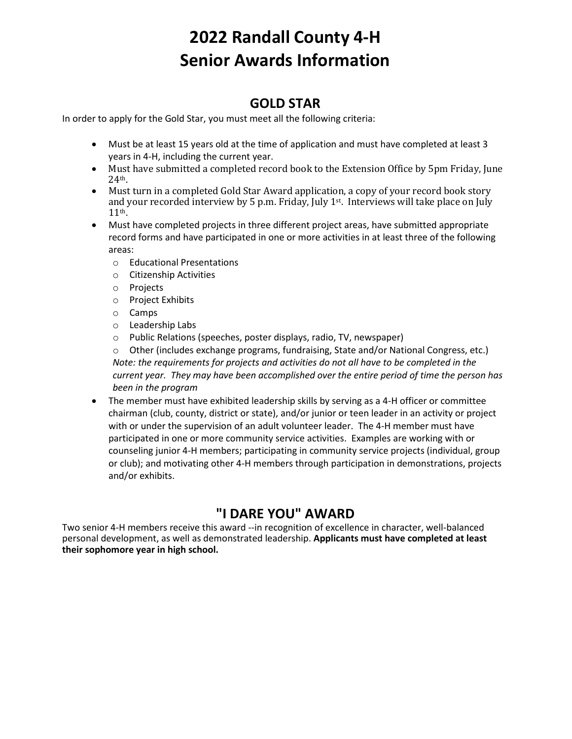# **2022 Randall County 4-H Senior Awards Information**

### **GOLD STAR**

In order to apply for the Gold Star, you must meet all the following criteria:

- Must be at least 15 years old at the time of application and must have completed at least 3 years in 4-H, including the current year.
- Must have submitted a completed record book to the Extension Office by 5pm Friday, June 24th.
- Must turn in a completed Gold Star Award application, a copy of your record book story and your recorded interview by 5 p.m. Friday, July 1st. Interviews will take place on July 11th.
- Must have completed projects in three different project areas, have submitted appropriate record forms and have participated in one or more activities in at least three of the following areas:
	- o Educational Presentations
	- o Citizenship Activities
	- o Projects
	- o Project Exhibits
	- o Camps
	- o Leadership Labs
	- o Public Relations (speeches, poster displays, radio, TV, newspaper)

o Other (includes exchange programs, fundraising, State and/or National Congress, etc.) *Note: the requirements for projects and activities do not all have to be completed in the current year. They may have been accomplished over the entire period of time the person has been in the program*

• The member must have exhibited leadership skills by serving as a 4-H officer or committee chairman (club, county, district or state), and/or junior or teen leader in an activity or project with or under the supervision of an adult volunteer leader. The 4-H member must have participated in one or more community service activities. Examples are working with or counseling junior 4-H members; participating in community service projects (individual, group or club); and motivating other 4-H members through participation in demonstrations, projects and/or exhibits.

## **"I DARE YOU" AWARD**

Two senior 4-H members receive this award --in recognition of excellence in character, well-balanced personal development, as well as demonstrated leadership. **Applicants must have completed at least their sophomore year in high school.**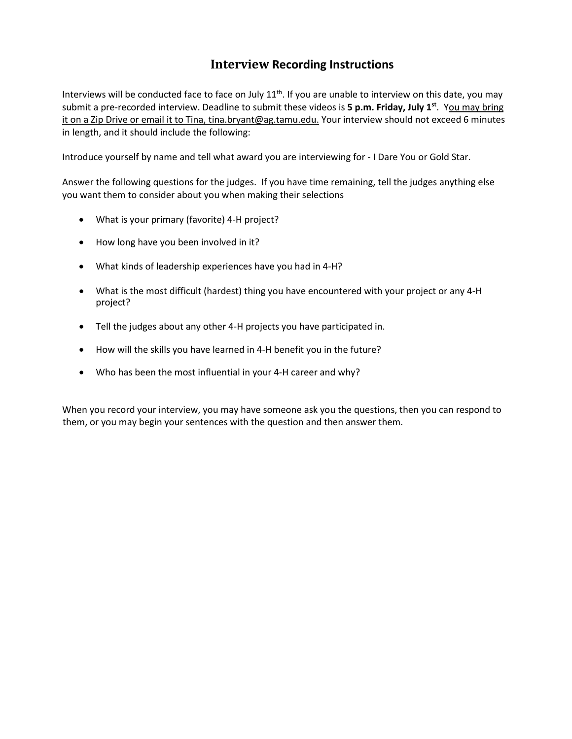#### **Interview Recording Instructions**

Interviews will be conducted face to face on July  $11<sup>th</sup>$ . If you are unable to interview on this date, you may submit a pre-recorded interview. Deadline to submit these videos is 5 p.m. Friday, July 1<sup>st</sup>. You may bring it on a Zip Drive or email it to Tina, tina.bryant@ag.tamu.edu. Your interview should not exceed 6 minutes in length, and it should include the following:

Introduce yourself by name and tell what award you are interviewing for - I Dare You or Gold Star.

Answer the following questions for the judges. If you have time remaining, tell the judges anything else you want them to consider about you when making their selections

- What is your primary (favorite) 4-H project?
- How long have you been involved in it?
- What kinds of leadership experiences have you had in 4-H?
- What is the most difficult (hardest) thing you have encountered with your project or any 4-H project?
- Tell the judges about any other 4-H projects you have participated in.
- How will the skills you have learned in 4-H benefit you in the future?
- Who has been the most influential in your 4-H career and why?

When you record your interview, you may have someone ask you the questions, then you can respond to them, or you may begin your sentences with the question and then answer them.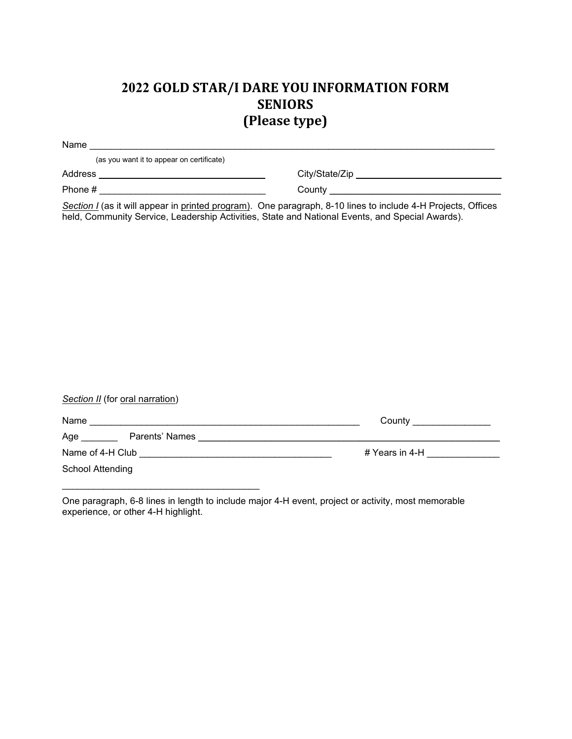## **2022 GOLD STAR/I DARE YOU INFORMATION FORM SENIORS (Please type)**

| Name                                      |                |
|-------------------------------------------|----------------|
| (as you want it to appear on certificate) |                |
| <b>Address</b>                            | City/State/Zip |
| Phone #                                   | County         |
| .                                         | .<br>- --      |

*Section I* (as it will appear in printed program). One paragraph, 8-10 lines to include 4-H Projects, Offices held, Community Service, Leadership Activities, State and National Events, and Special Awards).

| Section II (for oral narration) |                                                                                                                                                                                       |
|---------------------------------|---------------------------------------------------------------------------------------------------------------------------------------------------------------------------------------|
| Name                            | County <b>County County County County County County County County County County County County County County County County County County County County County County County County</b> |
| Age<br>Parents' Names           |                                                                                                                                                                                       |
| Name of 4-H Club                | # Years in 4-H                                                                                                                                                                        |
| School Attending                |                                                                                                                                                                                       |
|                                 |                                                                                                                                                                                       |

One paragraph, 6-8 lines in length to include major 4-H event, project or activity, most memorable experience, or other 4-H highlight.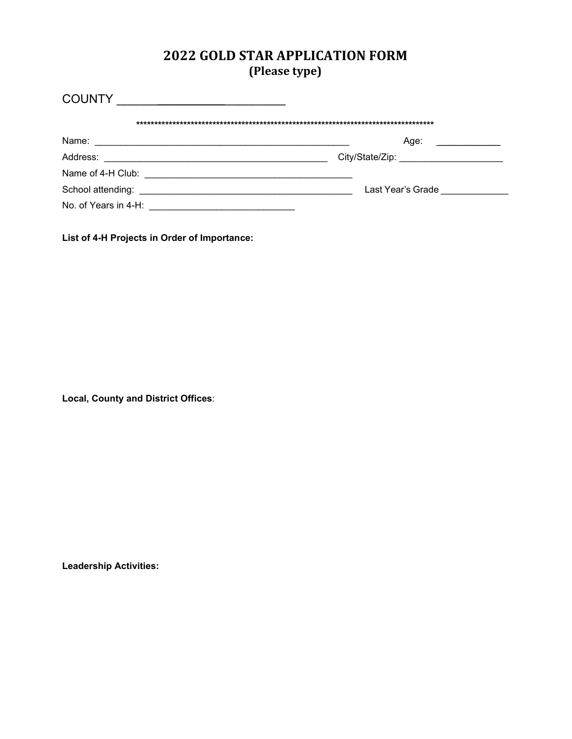#### **2022 GOLD STAR APPLICATION FORM (Please type)**

| <b>COUNTY</b>                                                                                                                             |                   |
|-------------------------------------------------------------------------------------------------------------------------------------------|-------------------|
|                                                                                                                                           |                   |
| Name:                                                                                                                                     | Age:              |
| Address:                                                                                                                                  |                   |
| Name of 4-H Club:                                                                                                                         |                   |
| School attending:<br><u> 2000 - 2000 - 2000 - 2000 - 2000 - 2000 - 2000 - 2000 - 2000 - 2000 - 2000 - 2000 - 2000 - 2000 - 2000 - 200</u> | Last Year's Grade |
| No. of Years in 4-H: <b>Conserver All Accords</b> 2014                                                                                    |                   |

**List of 4-H Projects in Order of Importance:**

**Local, County and District Offices**:

**Leadership Activities:**